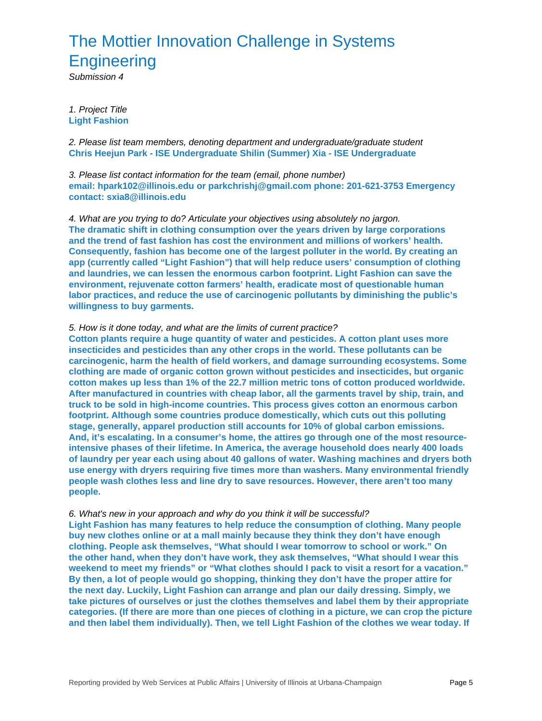## The Mottier Innovation Challenge in Systems **Engineering**

Submission 4

1. Project Title **Light Fashion**

2. Please list team members, denoting department and undergraduate/graduate student **Chris Heejun Park - ISE Undergraduate Shilin (Summer) Xia - ISE Undergraduate**

3. Please list contact information for the team (email, phone number) **email: hpark102@illinois.edu or parkchrishj@gmail.com phone: 201-621-3753 Emergency contact: sxia8@illinois.edu**

4. What are you trying to do? Articulate your objectives using absolutely no jargon. **The dramatic shift in clothing consumption over the years driven by large corporations and the trend of fast fashion has cost the environment and millions of workers' health. Consequently, fashion has become one of the largest polluter in the world. By creating an app (currently called "Light Fashion") that will help reduce users' consumption of clothing and laundries, we can lessen the enormous carbon footprint. Light Fashion can save the environment, rejuvenate cotton farmers' health, eradicate most of questionable human labor practices, and reduce the use of carcinogenic pollutants by diminishing the public's willingness to buy garments.**

## 5. How is it done today, and what are the limits of current practice?

**Cotton plants require a huge quantity of water and pesticides. A cotton plant uses more insecticides and pesticides than any other crops in the world. These pollutants can be carcinogenic, harm the health of field workers, and damage surrounding ecosystems. Some clothing are made of organic cotton grown without pesticides and insecticides, but organic cotton makes up less than 1% of the 22.7 million metric tons of cotton produced worldwide. After manufactured in countries with cheap labor, all the garments travel by ship, train, and truck to be sold in high-income countries. This process gives cotton an enormous carbon footprint. Although some countries produce domestically, which cuts out this polluting stage, generally, apparel production still accounts for 10% of global carbon emissions. And, it's escalating. In a consumer's home, the attires go through one of the most resourceintensive phases of their lifetime. In America, the average household does nearly 400 loads of laundry per year each using about 40 gallons of water. Washing machines and dryers both use energy with dryers requiring five times more than washers. Many environmental friendly people wash clothes less and line dry to save resources. However, there aren't too many people.**

## 6. What's new in your approach and why do you think it will be successful?

**Light Fashion has many features to help reduce the consumption of clothing. Many people buy new clothes online or at a mall mainly because they think they don't have enough clothing. People ask themselves, "What should I wear tomorrow to school or work." On the other hand, when they don't have work, they ask themselves, "What should I wear this weekend to meet my friends" or "What clothes should I pack to visit a resort for a vacation." By then, a lot of people would go shopping, thinking they don't have the proper attire for the next day. Luckily, Light Fashion can arrange and plan our daily dressing. Simply, we take pictures of ourselves or just the clothes themselves and label them by their appropriate categories. (If there are more than one pieces of clothing in a picture, we can crop the picture and then label them individually). Then, we tell Light Fashion of the clothes we wear today. If**